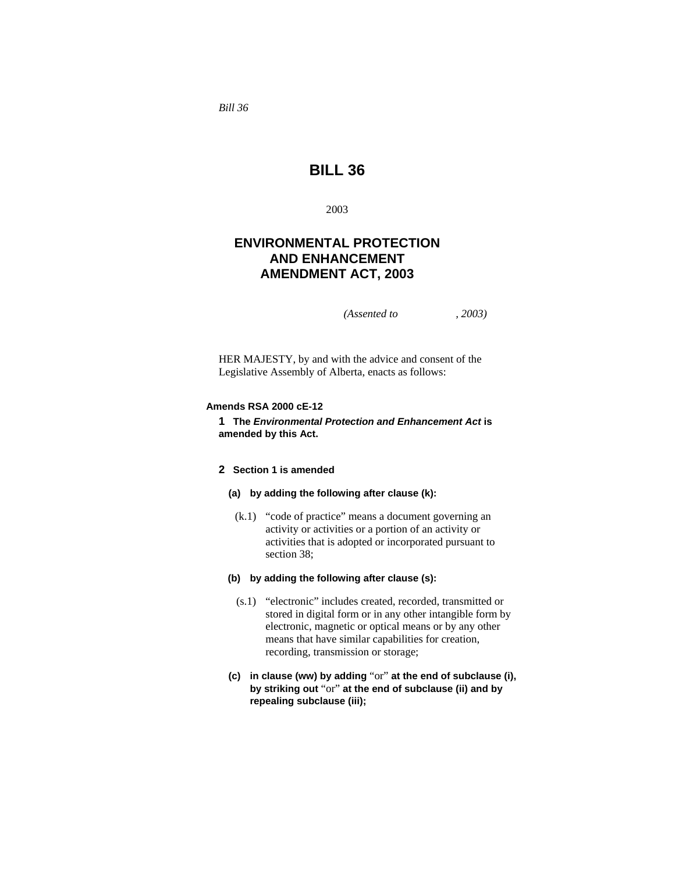*Bill 36* 

# **BILL 36**

2003

## **ENVIRONMENTAL PROTECTION AND ENHANCEMENT AMENDMENT ACT, 2003**

*(Assented to , 2003)* 

HER MAJESTY, by and with the advice and consent of the Legislative Assembly of Alberta, enacts as follows:

## **Amends RSA 2000 cE-12**

**1 The** *Environmental Protection and Enhancement Act* **is amended by this Act.**

## **2 Section 1 is amended**

## **(a) by adding the following after clause (k):**

 (k.1) "code of practice" means a document governing an activity or activities or a portion of an activity or activities that is adopted or incorporated pursuant to section 38;

## **(b) by adding the following after clause (s):**

- (s.1) "electronic" includes created, recorded, transmitted or stored in digital form or in any other intangible form by electronic, magnetic or optical means or by any other means that have similar capabilities for creation, recording, transmission or storage;
- **(c) in clause (ww) by adding** "or" **at the end of subclause (i), by striking out** "or" **at the end of subclause (ii) and by repealing subclause (iii);**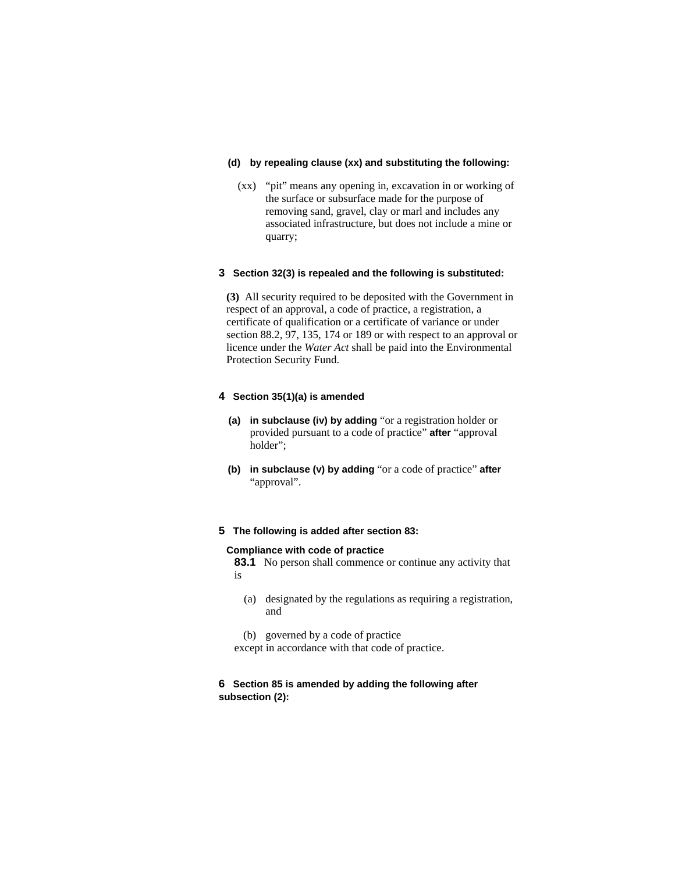## **(d) by repealing clause (xx) and substituting the following:**

 (xx) "pit" means any opening in, excavation in or working of the surface or subsurface made for the purpose of removing sand, gravel, clay or marl and includes any associated infrastructure, but does not include a mine or quarry;

## **3 Section 32(3) is repealed and the following is substituted:**

**(3)** All security required to be deposited with the Government in respect of an approval, a code of practice, a registration, a certificate of qualification or a certificate of variance or under section 88.2, 97, 135, 174 or 189 or with respect to an approval or licence under the *Water Act* shall be paid into the Environmental Protection Security Fund.

## **4 Section 35(1)(a) is amended**

- **(a) in subclause (iv) by adding** "or a registration holder or provided pursuant to a code of practice" **after** "approval holder";
- **(b) in subclause (v) by adding** "or a code of practice" **after**  "approval".

#### **5 The following is added after section 83:**

#### **Compliance with code of practice**

**83.1** No person shall commence or continue any activity that is

- (a) designated by the regulations as requiring a registration, and
- (b) governed by a code of practice

except in accordance with that code of practice.

## **6 Section 85 is amended by adding the following after subsection (2):**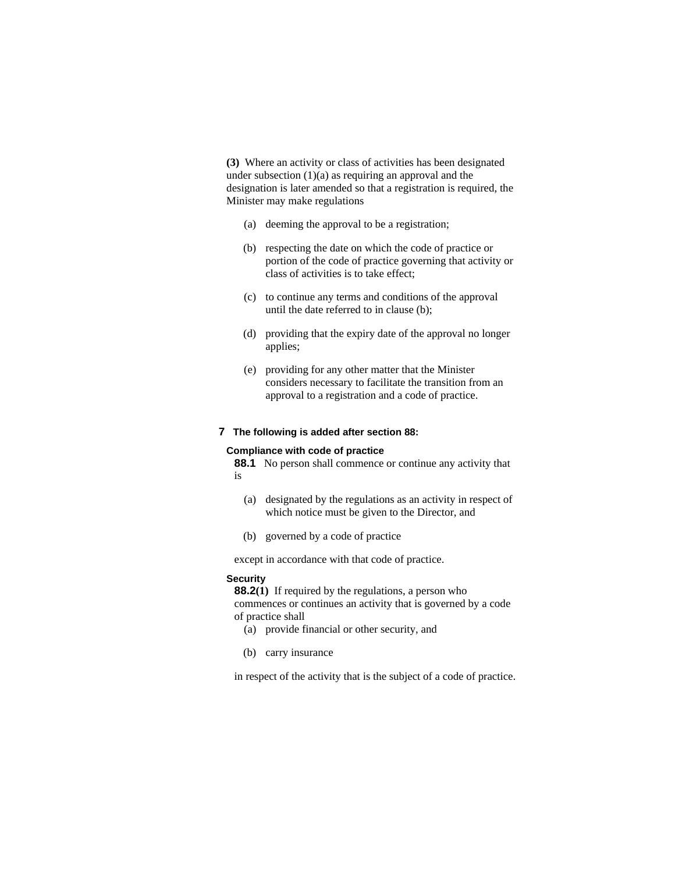**(3)** Where an activity or class of activities has been designated under subsection  $(1)(a)$  as requiring an approval and the designation is later amended so that a registration is required, the Minister may make regulations

- (a) deeming the approval to be a registration;
- (b) respecting the date on which the code of practice or portion of the code of practice governing that activity or class of activities is to take effect;
- (c) to continue any terms and conditions of the approval until the date referred to in clause (b);
- (d) providing that the expiry date of the approval no longer applies;
- (e) providing for any other matter that the Minister considers necessary to facilitate the transition from an approval to a registration and a code of practice.

## **7 The following is added after section 88:**

#### **Compliance with code of practice**

**88.1** No person shall commence or continue any activity that is

- (a) designated by the regulations as an activity in respect of which notice must be given to the Director, and
- (b) governed by a code of practice

except in accordance with that code of practice.

#### **Security**

**88.2(1)** If required by the regulations, a person who commences or continues an activity that is governed by a code of practice shall

- (a) provide financial or other security, and
- (b) carry insurance

in respect of the activity that is the subject of a code of practice.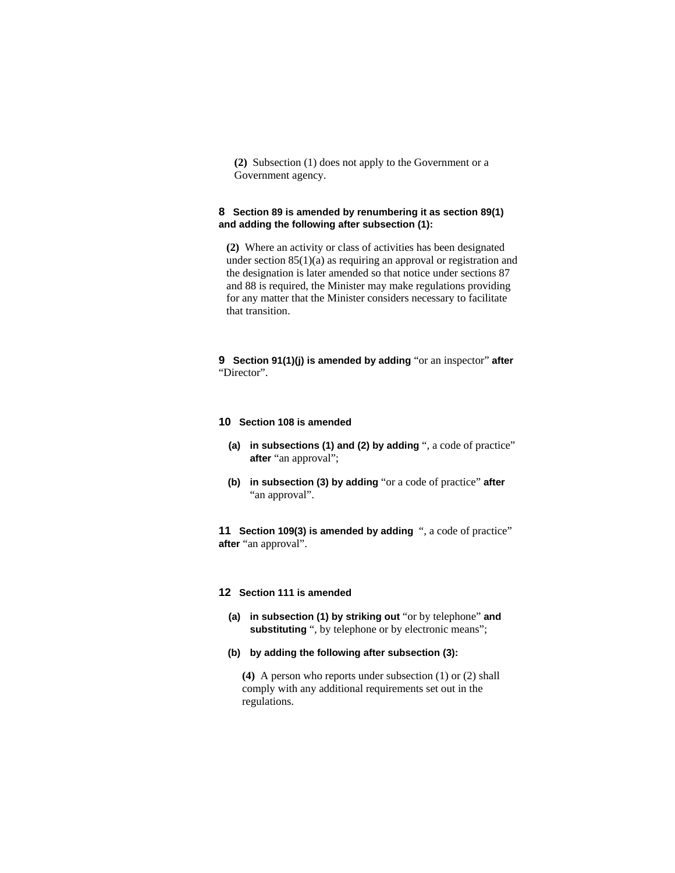**(2)** Subsection (1) does not apply to the Government or a Government agency.

## **8 Section 89 is amended by renumbering it as section 89(1) and adding the following after subsection (1):**

**(2)** Where an activity or class of activities has been designated under section 85(1)(a) as requiring an approval or registration and the designation is later amended so that notice under sections 87 and 88 is required, the Minister may make regulations providing for any matter that the Minister considers necessary to facilitate that transition.

**9 Section 91(1)(j) is amended by adding** "or an inspector" **after**  "Director".

#### **10 Section 108 is amended**

- **(a) in subsections (1) and (2) by adding** ", a code of practice" **after** "an approval";
- **(b) in subsection (3) by adding** "or a code of practice" **after**  "an approval".

**11 Section 109(3) is amended by adding** ", a code of practice" **after** "an approval".

#### **12 Section 111 is amended**

- **(a) in subsection (1) by striking out** "or by telephone" **and**  substituting ", by telephone or by electronic means";
- **(b) by adding the following after subsection (3):**

**(4)** A person who reports under subsection (1) or (2) shall comply with any additional requirements set out in the regulations.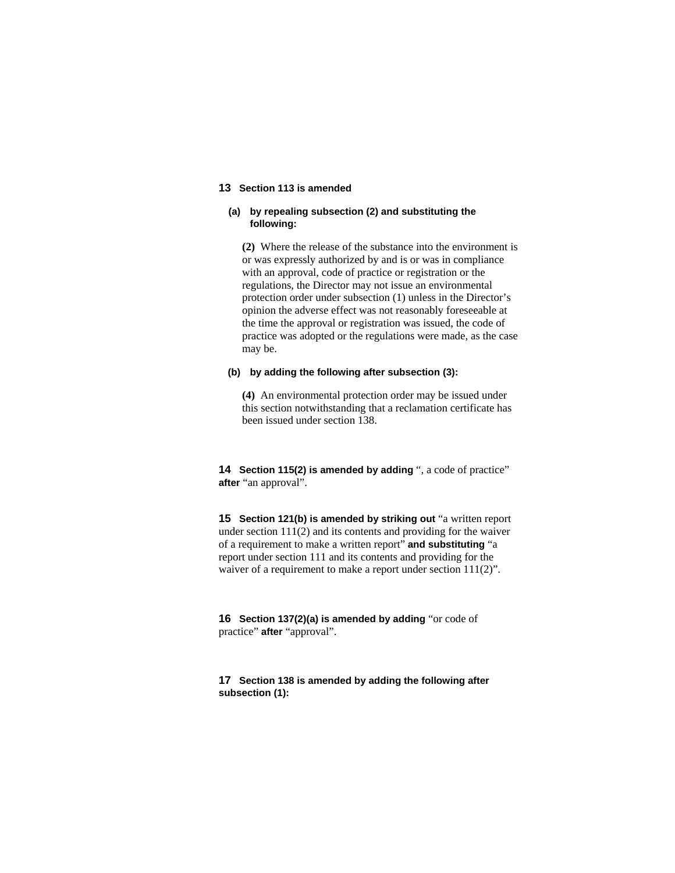## **13 Section 113 is amended**

## **(a) by repealing subsection (2) and substituting the following:**

**(2)** Where the release of the substance into the environment is or was expressly authorized by and is or was in compliance with an approval, code of practice or registration or the regulations, the Director may not issue an environmental protection order under subsection (1) unless in the Director's opinion the adverse effect was not reasonably foreseeable at the time the approval or registration was issued, the code of practice was adopted or the regulations were made, as the case may be.

#### **(b) by adding the following after subsection (3):**

**(4)** An environmental protection order may be issued under this section notwithstanding that a reclamation certificate has been issued under section 138.

**14 Section 115(2) is amended by adding** ", a code of practice" **after** "an approval".

**15 Section 121(b) is amended by striking out** "a written report under section 111(2) and its contents and providing for the waiver of a requirement to make a written report" **and substituting** "a report under section 111 and its contents and providing for the waiver of a requirement to make a report under section 111(2)".

**16 Section 137(2)(a) is amended by adding** "or code of practice" **after** "approval".

**17 Section 138 is amended by adding the following after subsection (1):**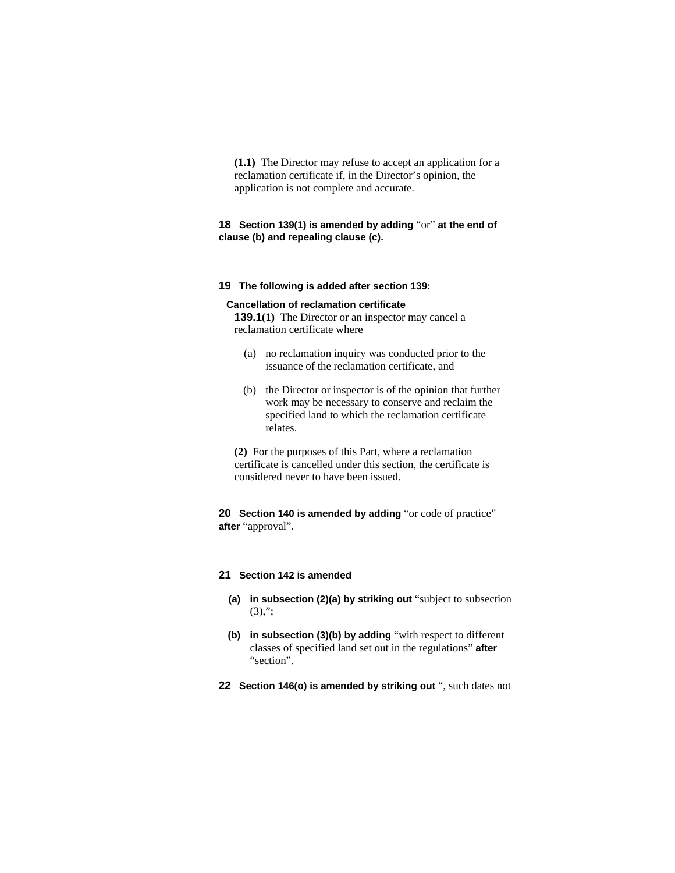**(1.1)** The Director may refuse to accept an application for a reclamation certificate if, in the Director's opinion, the application is not complete and accurate.

## **18 Section 139(1) is amended by adding** "or" **at the end of clause (b) and repealing clause (c).**

**19 The following is added after section 139:**

#### **Cancellation of reclamation certificate**

**139.1(1)** The Director or an inspector may cancel a reclamation certificate where

- (a) no reclamation inquiry was conducted prior to the issuance of the reclamation certificate, and
- (b) the Director or inspector is of the opinion that further work may be necessary to conserve and reclaim the specified land to which the reclamation certificate relates.

**(2)** For the purposes of this Part, where a reclamation certificate is cancelled under this section, the certificate is considered never to have been issued.

**20 Section 140 is amended by adding** "or code of practice" **after** "approval".

## **21 Section 142 is amended**

- **(a) in subsection (2)(a) by striking out** "subject to subsection (3),";
- **(b) in subsection (3)(b) by adding** "with respect to different classes of specified land set out in the regulations" **after**  "section".
- **22 Section 146(o) is amended by striking out** ", such dates not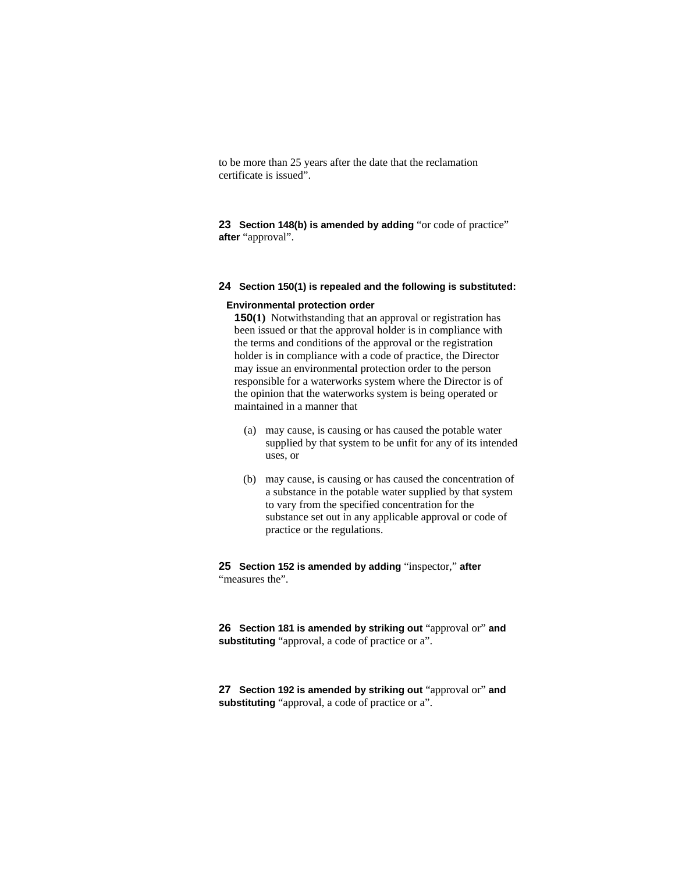to be more than 25 years after the date that the reclamation certificate is issued".

**23 Section 148(b) is amended by adding** "or code of practice" **after** "approval".

## **24 Section 150(1) is repealed and the following is substituted:**

#### **Environmental protection order**

**150(1)** Notwithstanding that an approval or registration has been issued or that the approval holder is in compliance with the terms and conditions of the approval or the registration holder is in compliance with a code of practice, the Director may issue an environmental protection order to the person responsible for a waterworks system where the Director is of the opinion that the waterworks system is being operated or maintained in a manner that

- (a) may cause, is causing or has caused the potable water supplied by that system to be unfit for any of its intended uses, or
- (b) may cause, is causing or has caused the concentration of a substance in the potable water supplied by that system to vary from the specified concentration for the substance set out in any applicable approval or code of practice or the regulations.

**25 Section 152 is amended by adding** "inspector," **after**  "measures the".

**26 Section 181 is amended by striking out** "approval or" **and substituting** "approval, a code of practice or a".

**27 Section 192 is amended by striking out** "approval or" **and substituting** "approval, a code of practice or a".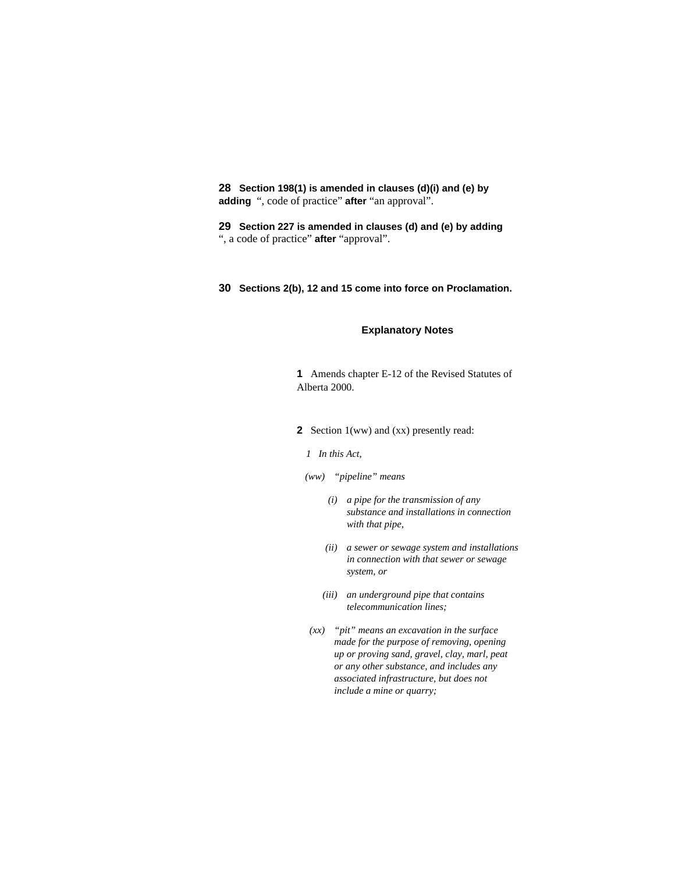**28 Section 198(1) is amended in clauses (d)(i) and (e) by adding** ", code of practice" **after** "an approval".

**29 Section 227 is amended in clauses (d) and (e) by adding**  ", a code of practice" **after** "approval".

#### **30 Sections 2(b), 12 and 15 come into force on Proclamation.**

## **Explanatory Notes**

**1** Amends chapter E-12 of the Revised Statutes of Alberta 2000.

**2** Section 1(ww) and (xx) presently read:

*1 In this Act,* 

 *(ww) "pipeline" means* 

- *(i) a pipe for the transmission of any substance and installations in connection with that pipe,*
- *(ii) a sewer or sewage system and installations in connection with that sewer or sewage system, or*
- *(iii) an underground pipe that contains telecommunication lines;*
- *(xx) "pit" means an excavation in the surface made for the purpose of removing, opening up or proving sand, gravel, clay, marl, peat or any other substance, and includes any associated infrastructure, but does not include a mine or quarry;*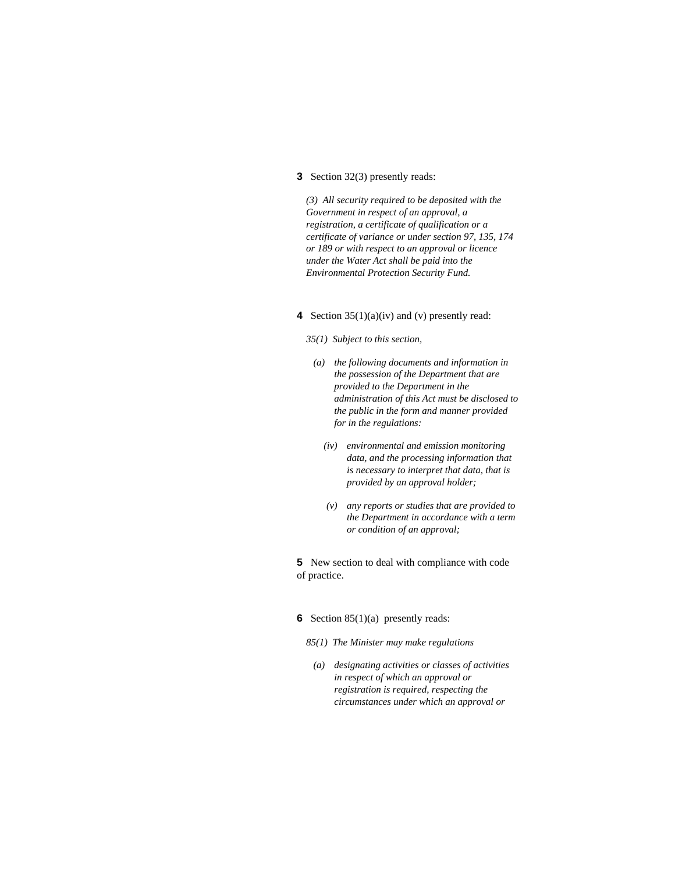#### **3** Section 32(3) presently reads:

*(3) All security required to be deposited with the Government in respect of an approval, a registration, a certificate of qualification or a certificate of variance or under section 97, 135, 174 or 189 or with respect to an approval or licence under the Water Act shall be paid into the Environmental Protection Security Fund.* 

## **4** Section 35(1)(a)(iv) and (v) presently read:

#### *35(1) Subject to this section,*

- *(a) the following documents and information in the possession of the Department that are provided to the Department in the administration of this Act must be disclosed to the public in the form and manner provided for in the regulations:* 
	- *(iv) environmental and emission monitoring data, and the processing information that is necessary to interpret that data, that is provided by an approval holder;*
	- *(v) any reports or studies that are provided to the Department in accordance with a term or condition of an approval;*

**5** New section to deal with compliance with code of practice.

## **6** Section 85(1)(a) presently reads:

*85(1) The Minister may make regulations* 

 *(a) designating activities or classes of activities in respect of which an approval or registration is required, respecting the circumstances under which an approval or*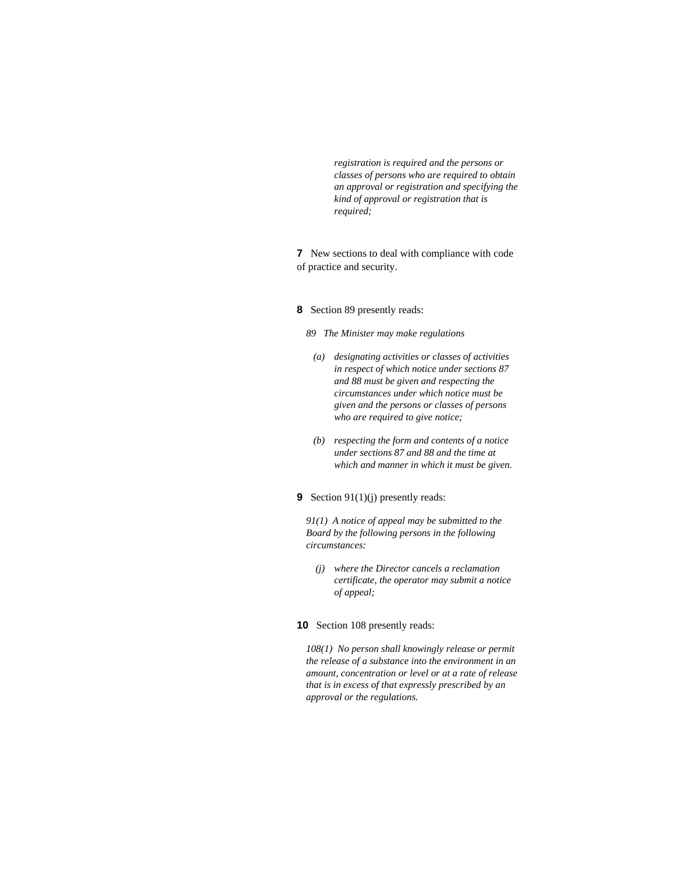*registration is required and the persons or classes of persons who are required to obtain an approval or registration and specifying the kind of approval or registration that is required;* 

**7** New sections to deal with compliance with code of practice and security.

## **8** Section 89 presently reads:

*89 The Minister may make regulations* 

- *(a) designating activities or classes of activities in respect of which notice under sections 87 and 88 must be given and respecting the circumstances under which notice must be given and the persons or classes of persons who are required to give notice;*
- *(b) respecting the form and contents of a notice under sections 87 and 88 and the time at which and manner in which it must be given.*

## **9** Section 91(1)(j) presently reads:

*91(1) A notice of appeal may be submitted to the Board by the following persons in the following circumstances:* 

 *(j) where the Director cancels a reclamation certificate, the operator may submit a notice of appeal;* 

## **10** Section 108 presently reads:

*108(1) No person shall knowingly release or permit the release of a substance into the environment in an amount, concentration or level or at a rate of release that is in excess of that expressly prescribed by an approval or the regulations.*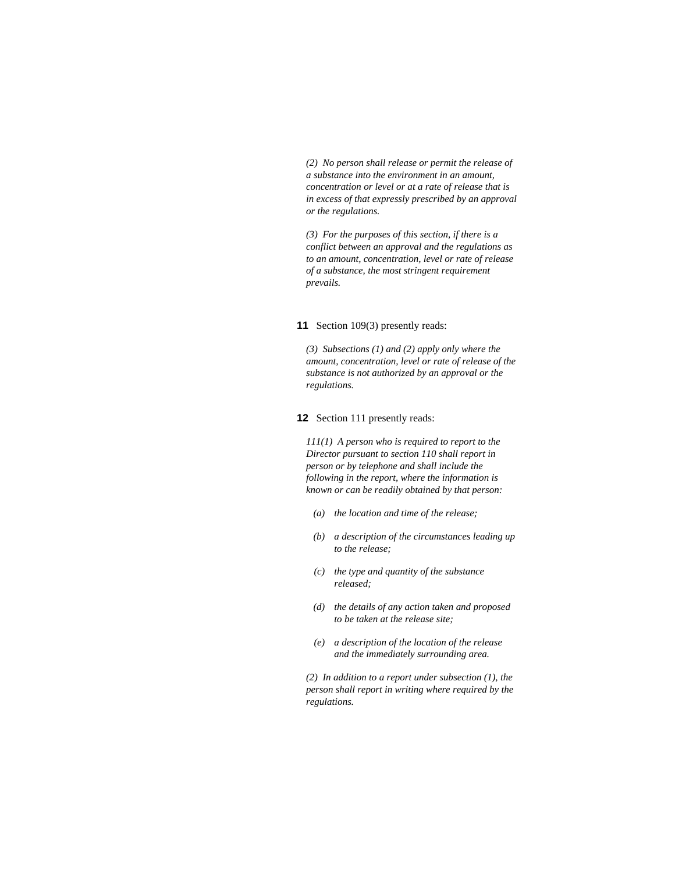*(2) No person shall release or permit the release of a substance into the environment in an amount, concentration or level or at a rate of release that is in excess of that expressly prescribed by an approval or the regulations.* 

*(3) For the purposes of this section, if there is a conflict between an approval and the regulations as to an amount, concentration, level or rate of release of a substance, the most stringent requirement prevails.* 

#### **11** Section 109(3) presently reads:

*(3) Subsections (1) and (2) apply only where the amount, concentration, level or rate of release of the substance is not authorized by an approval or the regulations.* 

**12** Section 111 presently reads:

*111(1) A person who is required to report to the Director pursuant to section 110 shall report in person or by telephone and shall include the following in the report, where the information is known or can be readily obtained by that person:* 

- *(a) the location and time of the release;*
- *(b) a description of the circumstances leading up to the release;*
- *(c) the type and quantity of the substance released;*
- *(d) the details of any action taken and proposed to be taken at the release site;*
- *(e) a description of the location of the release and the immediately surrounding area.*

*(2) In addition to a report under subsection (1), the person shall report in writing where required by the regulations.*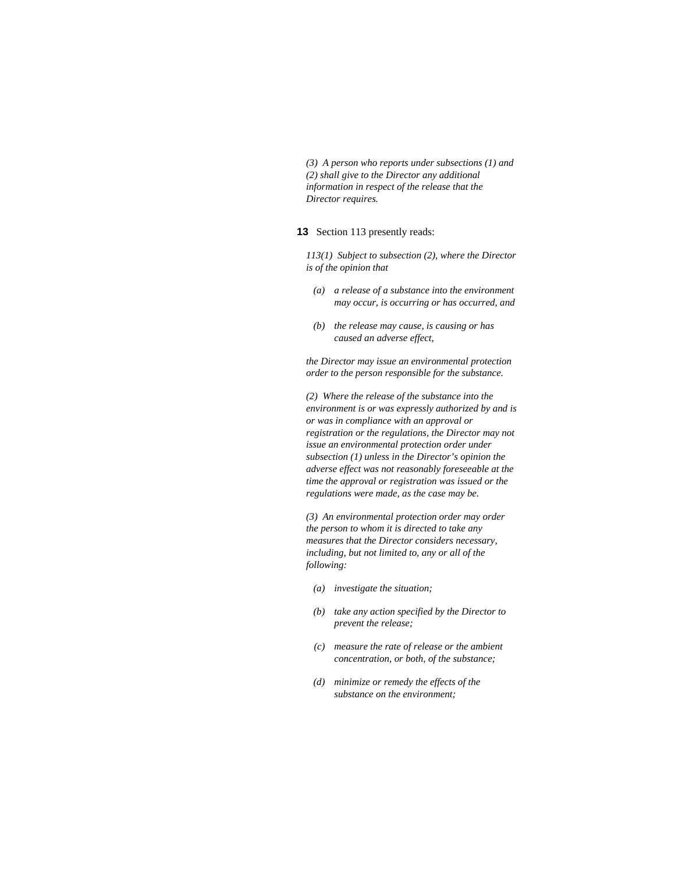*(3) A person who reports under subsections (1) and (2) shall give to the Director any additional information in respect of the release that the Director requires.* 

**13** Section 113 presently reads:

*113(1) Subject to subsection (2), where the Director is of the opinion that* 

- *(a) a release of a substance into the environment may occur, is occurring or has occurred, and*
- *(b) the release may cause, is causing or has caused an adverse effect,*

*the Director may issue an environmental protection order to the person responsible for the substance.* 

*(2) Where the release of the substance into the environment is or was expressly authorized by and is or was in compliance with an approval or registration or the regulations, the Director may not issue an environmental protection order under subsection (1) unless in the Director's opinion the adverse effect was not reasonably foreseeable at the time the approval or registration was issued or the regulations were made, as the case may be.* 

*(3) An environmental protection order may order the person to whom it is directed to take any measures that the Director considers necessary, including, but not limited to, any or all of the following:* 

- *(a) investigate the situation;*
- *(b) take any action specified by the Director to prevent the release;*
- *(c) measure the rate of release or the ambient concentration, or both, of the substance;*
- *(d) minimize or remedy the effects of the substance on the environment;*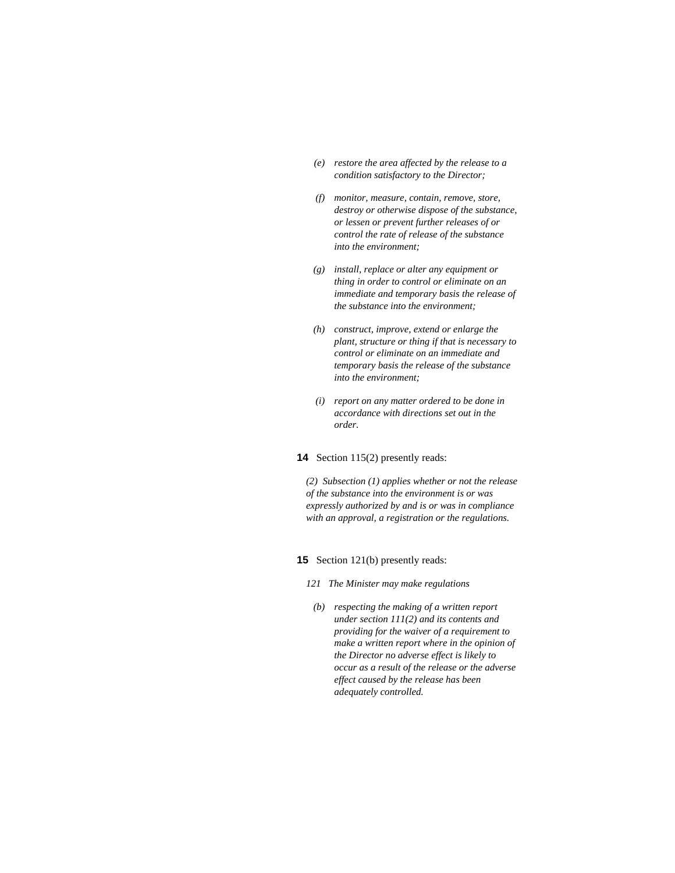- *(e) restore the area affected by the release to a condition satisfactory to the Director;*
- *(f) monitor, measure, contain, remove, store, destroy or otherwise dispose of the substance, or lessen or prevent further releases of or control the rate of release of the substance into the environment;*
- *(g) install, replace or alter any equipment or thing in order to control or eliminate on an immediate and temporary basis the release of the substance into the environment;*
- *(h) construct, improve, extend or enlarge the plant, structure or thing if that is necessary to control or eliminate on an immediate and temporary basis the release of the substance into the environment;*
- *(i) report on any matter ordered to be done in accordance with directions set out in the order.*
- **14** Section 115(2) presently reads:

*(2) Subsection (1) applies whether or not the release of the substance into the environment is or was expressly authorized by and is or was in compliance with an approval, a registration or the regulations.* 

#### **15** Section 121(b) presently reads:

- *121 The Minister may make regulations*
- *(b) respecting the making of a written report under section 111(2) and its contents and providing for the waiver of a requirement to make a written report where in the opinion of the Director no adverse effect is likely to occur as a result of the release or the adverse effect caused by the release has been adequately controlled.*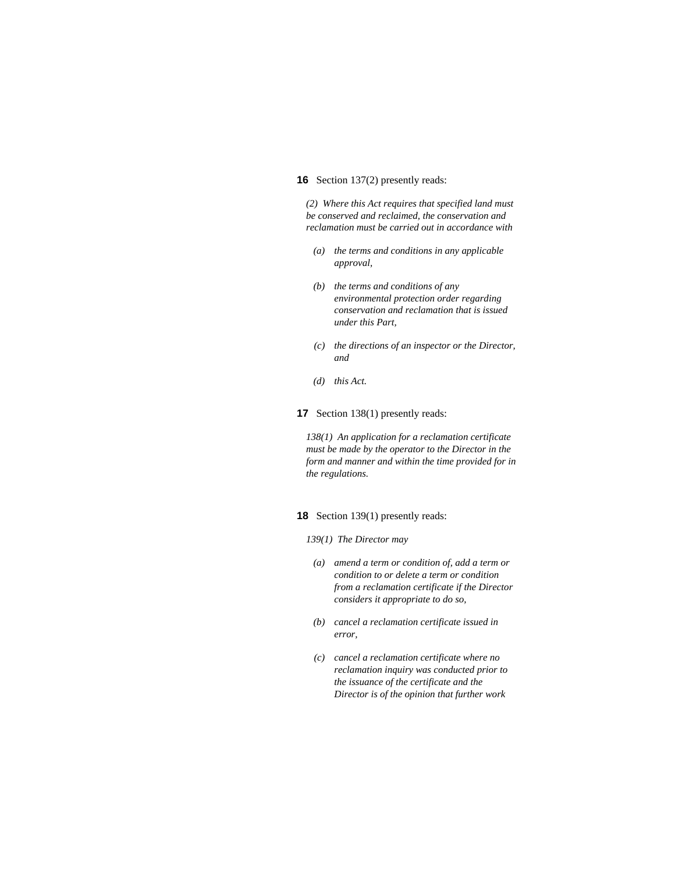#### **16** Section 137(2) presently reads:

*(2) Where this Act requires that specified land must be conserved and reclaimed, the conservation and reclamation must be carried out in accordance with* 

- *(a) the terms and conditions in any applicable approval,*
- *(b) the terms and conditions of any environmental protection order regarding conservation and reclamation that is issued under this Part,*
- *(c) the directions of an inspector or the Director, and*
- *(d) this Act.*
- **17** Section 138(1) presently reads:

*138(1) An application for a reclamation certificate must be made by the operator to the Director in the form and manner and within the time provided for in the regulations.* 

**18** Section 139(1) presently reads:

- *139(1) The Director may*
- *(a) amend a term or condition of, add a term or condition to or delete a term or condition from a reclamation certificate if the Director considers it appropriate to do so,*
- *(b) cancel a reclamation certificate issued in error,*
- *(c) cancel a reclamation certificate where no reclamation inquiry was conducted prior to the issuance of the certificate and the Director is of the opinion that further work*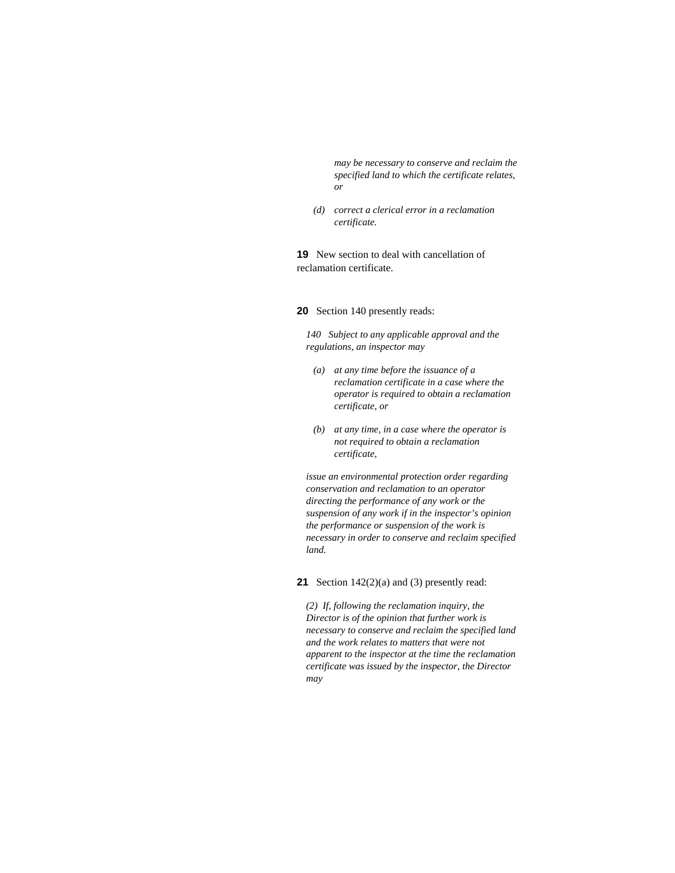*may be necessary to conserve and reclaim the specified land to which the certificate relates, or* 

 *(d) correct a clerical error in a reclamation certificate.* 

**19** New section to deal with cancellation of reclamation certificate.

**20** Section 140 presently reads:

*140 Subject to any applicable approval and the regulations, an inspector may* 

- *(a) at any time before the issuance of a reclamation certificate in a case where the operator is required to obtain a reclamation certificate, or*
- *(b) at any time, in a case where the operator is not required to obtain a reclamation certificate,*

*issue an environmental protection order regarding conservation and reclamation to an operator directing the performance of any work or the suspension of any work if in the inspector's opinion the performance or suspension of the work is necessary in order to conserve and reclaim specified land.* 

**21** Section 142(2)(a) and (3) presently read:

*(2) If, following the reclamation inquiry, the Director is of the opinion that further work is necessary to conserve and reclaim the specified land and the work relates to matters that were not apparent to the inspector at the time the reclamation certificate was issued by the inspector, the Director may*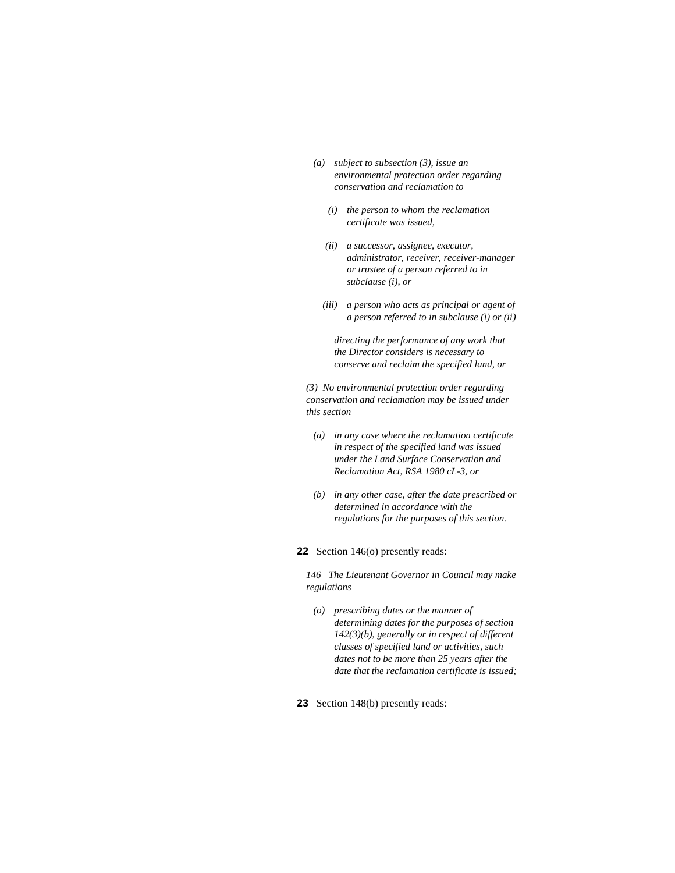- *(a) subject to subsection (3), issue an environmental protection order regarding conservation and reclamation to* 
	- *(i) the person to whom the reclamation certificate was issued,*
	- *(ii) a successor, assignee, executor, administrator, receiver, receiver-manager or trustee of a person referred to in subclause (i), or*
	- *(iii) a person who acts as principal or agent of a person referred to in subclause (i) or (ii)*

 *directing the performance of any work that the Director considers is necessary to conserve and reclaim the specified land, or* 

*(3) No environmental protection order regarding conservation and reclamation may be issued under this section* 

- *(a) in any case where the reclamation certificate in respect of the specified land was issued under the Land Surface Conservation and Reclamation Act, RSA 1980 cL-3, or*
- *(b) in any other case, after the date prescribed or determined in accordance with the regulations for the purposes of this section.*
- **22** Section 146(o) presently reads:

*146 The Lieutenant Governor in Council may make regulations* 

- *(o) prescribing dates or the manner of determining dates for the purposes of section 142(3)(b), generally or in respect of different classes of specified land or activities, such dates not to be more than 25 years after the date that the reclamation certificate is issued;*
- **23** Section 148(b) presently reads: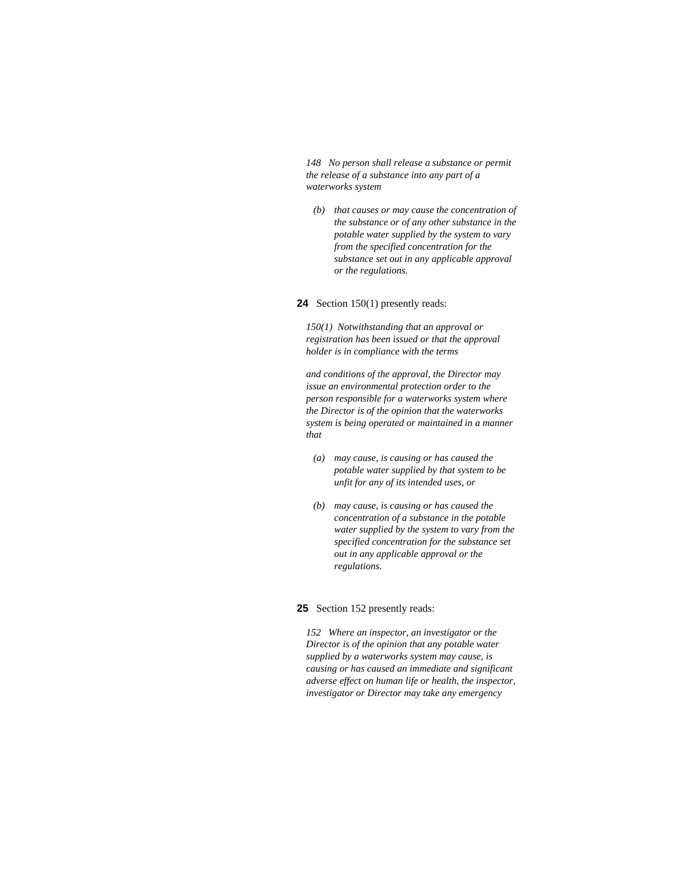*148 No person shall release a substance or permit the release of a substance into any part of a waterworks system* 

 *(b) that causes or may cause the concentration of the substance or of any other substance in the potable water supplied by the system to vary from the specified concentration for the substance set out in any applicable approval or the regulations.* 

#### **24** Section 150(1) presently reads:

*150(1) Notwithstanding that an approval or registration has been issued or that the approval holder is in compliance with the terms* 

*and conditions of the approval, the Director may issue an environmental protection order to the person responsible for a waterworks system where the Director is of the opinion that the waterworks system is being operated or maintained in a manner that* 

- *(a) may cause, is causing or has caused the potable water supplied by that system to be unfit for any of its intended uses, or*
- *(b) may cause, is causing or has caused the concentration of a substance in the potable water supplied by the system to vary from the specified concentration for the substance set out in any applicable approval or the regulations.*

#### **25** Section 152 presently reads:

*152 Where an inspector, an investigator or the Director is of the opinion that any potable water supplied by a waterworks system may cause, is causing or has caused an immediate and significant adverse effect on human life or health, the inspector, investigator or Director may take any emergency*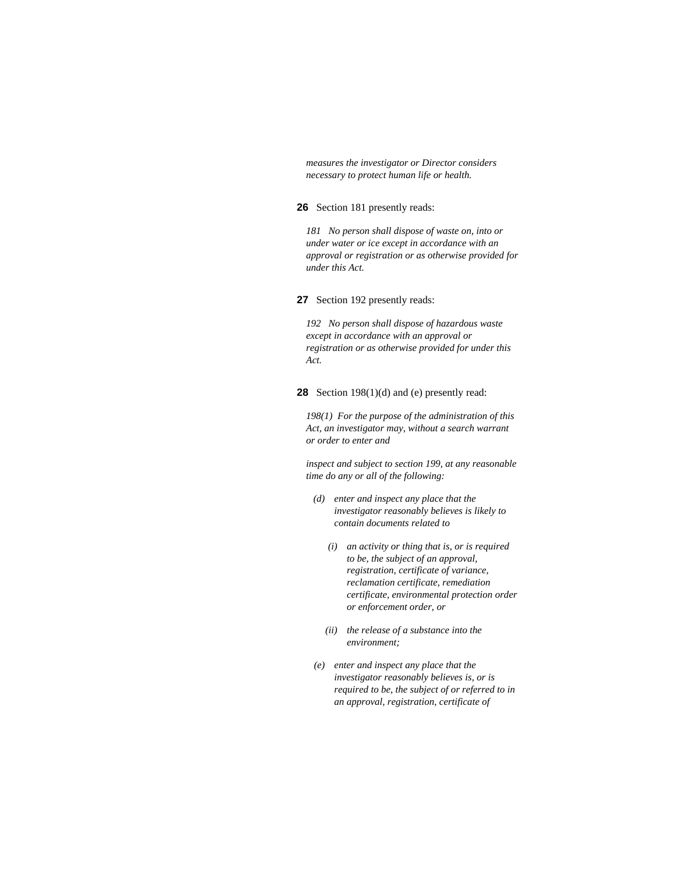*measures the investigator or Director considers necessary to protect human life or health.* 

## **26** Section 181 presently reads:

*181 No person shall dispose of waste on, into or under water or ice except in accordance with an approval or registration or as otherwise provided for under this Act.* 

**27** Section 192 presently reads:

*192 No person shall dispose of hazardous waste except in accordance with an approval or registration or as otherwise provided for under this Act.* 

**28** Section 198(1)(d) and (e) presently read:

*198(1) For the purpose of the administration of this Act, an investigator may, without a search warrant or order to enter and* 

*inspect and subject to section 199, at any reasonable time do any or all of the following:* 

- *(d) enter and inspect any place that the investigator reasonably believes is likely to contain documents related to* 
	- *(i) an activity or thing that is, or is required to be, the subject of an approval, registration, certificate of variance, reclamation certificate, remediation certificate, environmental protection order or enforcement order, or*
	- *(ii) the release of a substance into the environment;*
- *(e) enter and inspect any place that the investigator reasonably believes is, or is required to be, the subject of or referred to in an approval, registration, certificate of*